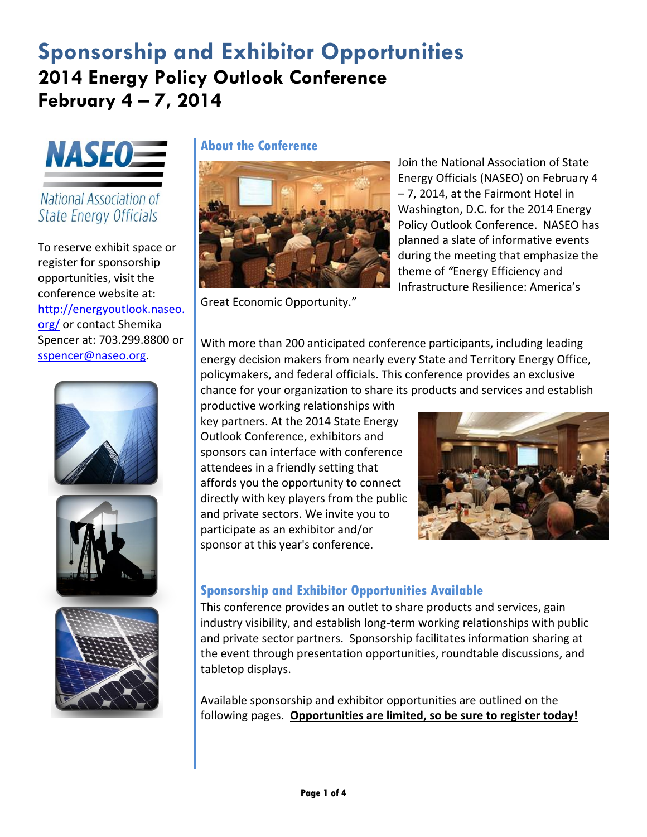# **Sponsorship and Exhibitor Opportunities 2014 Energy Policy Outlook Conference February 4 – 7, 2014**



National Association of State Energy Officials

To reserve exhibit space or register for sponsorship opportunities, visit the conference website at: [http://energyoutlook.naseo.](http://energyoutlook.naseo.org/) [org/](http://energyoutlook.naseo.org/) or contact Shemika Spencer at: 703.299.8800 or [sspencer@naseo.org.](mailto:sspencer@naseo.org)



**About the Conference**



Great Economic Opportunity."

Join the National Association of State Energy Officials (NASEO) on February 4 – 7, 2014, at the Fairmont Hotel in Washington, D.C. for the 2014 Energy Policy Outlook Conference. NASEO has planned a slate of informative events during the meeting that emphasize the theme of *"*Energy Efficiency and Infrastructure Resilience: America's

With more than 200 anticipated conference participants, including leading energy decision makers from nearly every State and Territory Energy Office, policymakers, and federal officials. This conference provides an exclusive chance for your organization to share its products and services and establish

productive working relationships with key partners. At the 2014 State Energy Outlook Conference, exhibitors and sponsors can interface with conference attendees in a friendly setting that affords you the opportunity to connect directly with key players from the public and private sectors. We invite you to participate as an exhibitor and/or sponsor at this year's conference.



## **Sponsorship and Exhibitor Opportunities Available**

This conference provides an outlet to share products and services, gain industry visibility, and establish long-term working relationships with public and private sector partners. Sponsorship facilitates information sharing at the event through presentation opportunities, roundtable discussions, and tabletop displays.

Available sponsorship and exhibitor opportunities are outlined on the following pages. **Opportunities are limited, so be sure to register today!**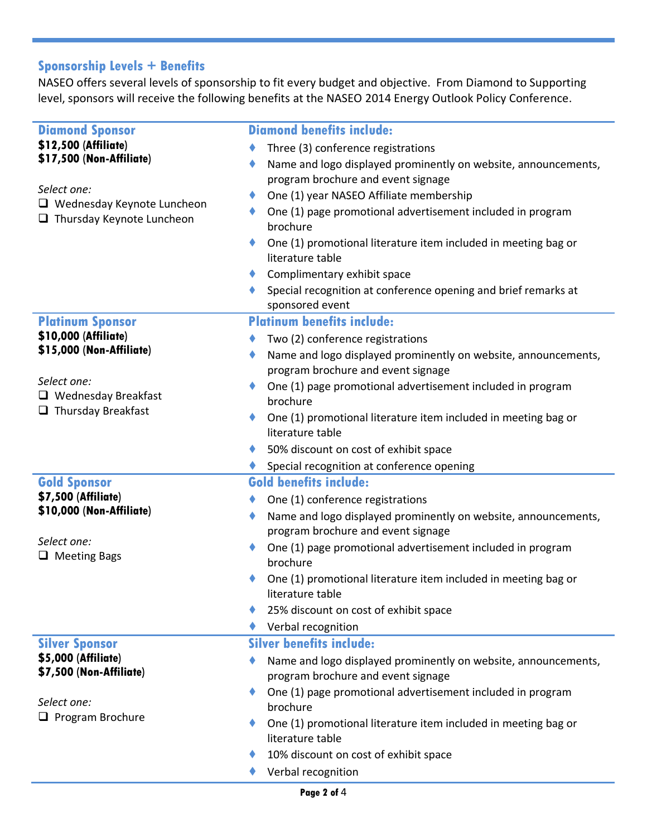# **Sponsorship Levels + Benefits**

NASEO offers several levels of sponsorship to fit every budget and objective. From Diamond to Supporting level, sponsors will receive the following benefits at the NASEO 2014 Energy Outlook Policy Conference.

| <b>Diamond Sponsor</b>                                                | <b>Diamond benefits include:</b>                                                                     |
|-----------------------------------------------------------------------|------------------------------------------------------------------------------------------------------|
| \$12,500 (Affiliate)                                                  | Three (3) conference registrations                                                                   |
| \$17,500 (Non-Affiliate)                                              | Name and logo displayed prominently on website, announcements,                                       |
|                                                                       | program brochure and event signage                                                                   |
| Select one:                                                           | One (1) year NASEO Affiliate membership                                                              |
| $\Box$ Wednesday Keynote Luncheon<br>$\Box$ Thursday Keynote Luncheon | One (1) page promotional advertisement included in program<br>brochure                               |
|                                                                       | One (1) promotional literature item included in meeting bag or<br>literature table                   |
|                                                                       | Complimentary exhibit space                                                                          |
|                                                                       | Special recognition at conference opening and brief remarks at<br>sponsored event                    |
| <b>Platinum Sponsor</b>                                               | <b>Platinum benefits include:</b>                                                                    |
| \$10,000 (Affiliate)                                                  | Two (2) conference registrations                                                                     |
| \$15,000 (Non-Affiliate)                                              | Name and logo displayed prominently on website, announcements,                                       |
|                                                                       | program brochure and event signage                                                                   |
| Select one:<br>$\Box$ Wednesday Breakfast                             | One (1) page promotional advertisement included in program<br>brochure                               |
| $\Box$ Thursday Breakfast                                             | One (1) promotional literature item included in meeting bag or<br>literature table                   |
|                                                                       | 50% discount on cost of exhibit space                                                                |
|                                                                       | Special recognition at conference opening                                                            |
| <b>Gold Sponsor</b>                                                   | <b>Gold benefits include:</b>                                                                        |
| \$7,500 (Affiliate)                                                   | One (1) conference registrations                                                                     |
| \$10,000 (Non-Affiliate)                                              | Name and logo displayed prominently on website, announcements,<br>program brochure and event signage |
| Select one:                                                           | One (1) page promotional advertisement included in program                                           |
| $\Box$ Meeting Bags                                                   | brochure                                                                                             |
|                                                                       | One (1) promotional literature item included in meeting bag or<br>literature table                   |
|                                                                       | 25% discount on cost of exhibit space                                                                |
|                                                                       | Verbal recognition                                                                                   |
| <b>Silver Sponsor</b>                                                 | <b>Silver benefits include:</b>                                                                      |
| \$5,000 (Affiliate)                                                   | Name and logo displayed prominently on website, announcements,                                       |
| \$7,500 (Non-Affiliate)                                               | program brochure and event signage                                                                   |
|                                                                       | One (1) page promotional advertisement included in program                                           |
| Select one:                                                           | brochure                                                                                             |
| $\Box$ Program Brochure                                               | One (1) promotional literature item included in meeting bag or<br>literature table                   |
|                                                                       | 10% discount on cost of exhibit space                                                                |
|                                                                       | Verbal recognition                                                                                   |
|                                                                       |                                                                                                      |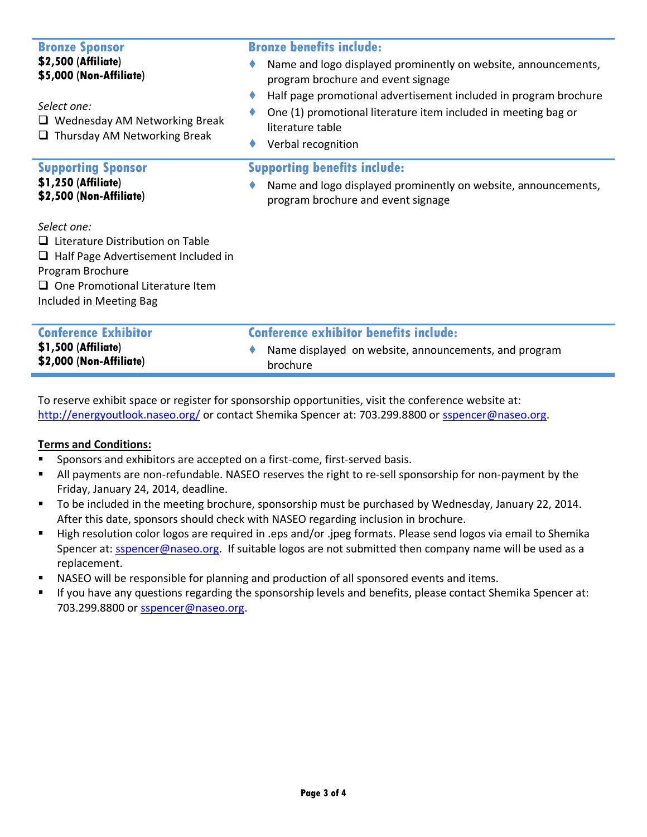| <b>Bronze Sponsor</b><br>\$2,500 (Affiliate)<br>\$5,000 (Non-Affiliate)<br>Select one:<br>$\Box$ Wednesday AM Networking Break<br>$\Box$ Thursday AM Networking Break                         | <b>Bronze benefits include:</b><br>Name and logo displayed prominently on website, announcements,<br>program brochure and event signage<br>Half page promotional advertisement included in program brochure<br>One (1) promotional literature item included in meeting bag or<br>literature table<br>Verbal recognition |
|-----------------------------------------------------------------------------------------------------------------------------------------------------------------------------------------------|-------------------------------------------------------------------------------------------------------------------------------------------------------------------------------------------------------------------------------------------------------------------------------------------------------------------------|
| <b>Supporting Sponsor</b><br>\$1,250 (Affiliate)<br>\$2,500 (Non-Affiliate)                                                                                                                   | <b>Supporting benefits include:</b><br>Name and logo displayed prominently on website, announcements,<br>program brochure and event signage                                                                                                                                                                             |
| Select one:<br>$\Box$ Literature Distribution on Table<br>$\Box$ Half Page Advertisement Included in<br>Program Brochure<br>$\Box$ One Promotional Literature Item<br>Included in Meeting Bag |                                                                                                                                                                                                                                                                                                                         |
| <b>Conference Exhibitor</b><br>\$1,500 (Affiliate)<br>\$2,000 (Non-Affiliate)                                                                                                                 | <b>Conference exhibitor benefits include:</b><br>Name displayed on website, announcements, and program<br>brochure                                                                                                                                                                                                      |

To reserve exhibit space or register for sponsorship opportunities, visit the conference website at: <http://energyoutlook.naseo.org/> or contact Shemika Spencer at: 703.299.8800 or [sspencer@naseo.org.](mailto:sspencer@naseo.org)

#### **Terms and Conditions:**

- **Sponsors and exhibitors are accepted on a first-come, first-served basis.**
- All payments are non-refundable. NASEO reserves the right to re-sell sponsorship for non-payment by the Friday, January 24, 2014, deadline.
- To be included in the meeting brochure, sponsorship must be purchased by Wednesday, January 22, 2014. After this date, sponsors should check with NASEO regarding inclusion in brochure.
- High resolution color logos are required in .eps and/or .jpeg formats. Please send logos via email to Shemika Spencer at: [sspencer@naseo.org.](mailto:sspencer@naseo.org) If suitable logos are not submitted then company name will be used as a replacement.
- **NASEO will be responsible for planning and production of all sponsored events and items.**
- If you have any questions regarding the sponsorship levels and benefits, please contact Shemika Spencer at: 703.299.8800 or [sspencer@naseo.org.](mailto:sspencer@naseo.org)